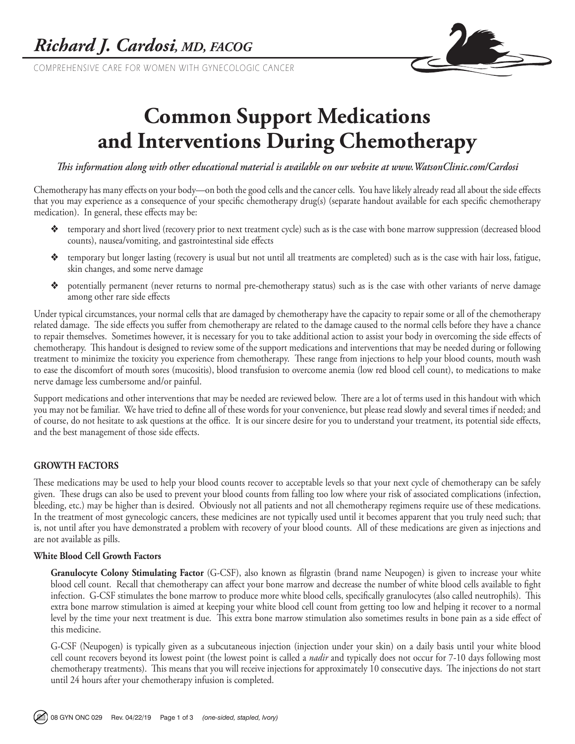COMPREHENSIVE CARE FOR WOMEN WITH GYNECOLOGIC CANCER



# **Common Support Medications and Interventions During Chemotherapy**

*This information along with other educational material is available on our website at www.WatsonClinic.com/Cardosi*

Chemotherapy has many effects on your body—on both the good cells and the cancer cells. You have likely already read all about the side effects that you may experience as a consequence of your specific chemotherapy drug(s) (separate handout available for each specific chemotherapy medication). In general, these effects may be:

- v temporary and short lived (recovery prior to next treatment cycle) such as is the case with bone marrow suppression (decreased blood counts), nausea/vomiting, and gastrointestinal side effects
- v temporary but longer lasting (recovery is usual but not until all treatments are completed) such as is the case with hair loss, fatigue, skin changes, and some nerve damage
- v potentially permanent (never returns to normal pre-chemotherapy status) such as is the case with other variants of nerve damage among other rare side effects

Under typical circumstances, your normal cells that are damaged by chemotherapy have the capacity to repair some or all of the chemotherapy related damage. The side effects you suffer from chemotherapy are related to the damage caused to the normal cells before they have a chance to repair themselves. Sometimes however, it is necessary for you to take additional action to assist your body in overcoming the side effects of chemotherapy. This handout is designed to review some of the support medications and interventions that may be needed during or following treatment to minimize the toxicity you experience from chemotherapy. These range from injections to help your blood counts, mouth wash to ease the discomfort of mouth sores (mucositis), blood transfusion to overcome anemia (low red blood cell count), to medications to make nerve damage less cumbersome and/or painful.

Support medications and other interventions that may be needed are reviewed below. There are a lot of terms used in this handout with which you may not be familiar. We have tried to define all of these words for your convenience, but please read slowly and several times if needed; and of course, do not hesitate to ask questions at the office. It is our sincere desire for you to understand your treatment, its potential side effects, and the best management of those side effects.

## **GROWTH FACTORS**

These medications may be used to help your blood counts recover to acceptable levels so that your next cycle of chemotherapy can be safely given. These drugs can also be used to prevent your blood counts from falling too low where your risk of associated complications (infection, bleeding, etc.) may be higher than is desired. Obviously not all patients and not all chemotherapy regimens require use of these medications. In the treatment of most gynecologic cancers, these medicines are not typically used until it becomes apparent that you truly need such; that is, not until after you have demonstrated a problem with recovery of your blood counts. All of these medications are given as injections and are not available as pills.

#### **White Blood Cell Growth Factors**

**Granulocyte Colony Stimulating Factor** (G-CSF), also known as filgrastin (brand name Neupogen) is given to increase your white blood cell count. Recall that chemotherapy can affect your bone marrow and decrease the number of white blood cells available to fight infection. G-CSF stimulates the bone marrow to produce more white blood cells, specifically granulocytes (also called neutrophils). This extra bone marrow stimulation is aimed at keeping your white blood cell count from getting too low and helping it recover to a normal level by the time your next treatment is due. This extra bone marrow stimulation also sometimes results in bone pain as a side effect of this medicine.

G-CSF (Neupogen) is typically given as a subcutaneous injection (injection under your skin) on a daily basis until your white blood cell count recovers beyond its lowest point (the lowest point is called a *nadir* and typically does not occur for 7-10 days following most chemotherapy treatments). This means that you will receive injections for approximately 10 consecutive days. The injections do not start until 24 hours after your chemotherapy infusion is completed.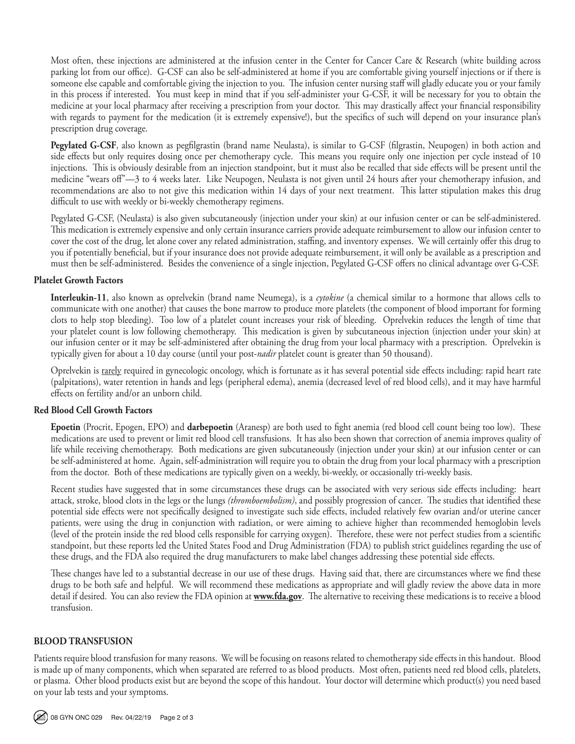Most often, these injections are administered at the infusion center in the Center for Cancer Care & Research (white building across parking lot from our office). G-CSF can also be self-administered at home if you are comfortable giving yourself injections or if there is someone else capable and comfortable giving the injection to you. The infusion center nursing staff will gladly educate you or your family in this process if interested. You must keep in mind that if you self-administer your G-CSF, it will be necessary for you to obtain the medicine at your local pharmacy after receiving a prescription from your doctor. This may drastically affect your financial responsibility with regards to payment for the medication (it is extremely expensive!), but the specifics of such will depend on your insurance plan's prescription drug coverage.

**Pegylated G-CSF**, also known as pegfilgrastin (brand name Neulasta), is similar to G-CSF (filgrastin, Neupogen) in both action and side effects but only requires dosing once per chemotherapy cycle. This means you require only one injection per cycle instead of 10 injections. This is obviously desirable from an injection standpoint, but it must also be recalled that side effects will be present until the medicine "wears off"—3 to 4 weeks later. Like Neupogen, Neulasta is not given until 24 hours after your chemotherapy infusion, and recommendations are also to not give this medication within 14 days of your next treatment. This latter stipulation makes this drug difficult to use with weekly or bi-weekly chemotherapy regimens.

Pegylated G-CSF, (Neulasta) is also given subcutaneously (injection under your skin) at our infusion center or can be self-administered. This medication is extremely expensive and only certain insurance carriers provide adequate reimbursement to allow our infusion center to cover the cost of the drug, let alone cover any related administration, staffing, and inventory expenses. We will certainly offer this drug to you if potentially beneficial, but if your insurance does not provide adequate reimbursement, it will only be available as a prescription and must then be self-administered. Besides the convenience of a single injection, Pegylated G-CSF offers no clinical advantage over G-CSF.

#### **Platelet Growth Factors**

**Interleukin-11**, also known as oprelvekin (brand name Neumega), is a *cytokine* (a chemical similar to a hormone that allows cells to communicate with one another) that causes the bone marrow to produce more platelets (the component of blood important for forming clots to help stop bleeding). Too low of a platelet count increases your risk of bleeding. Oprelvekin reduces the length of time that your platelet count is low following chemotherapy. This medication is given by subcutaneous injection (injection under your skin) at our infusion center or it may be self-administered after obtaining the drug from your local pharmacy with a prescription. Oprelvekin is typically given for about a 10 day course (until your post-*nadir* platelet count is greater than 50 thousand).

Oprelvekin is rarely required in gynecologic oncology, which is fortunate as it has several potential side effects including: rapid heart rate (palpitations), water retention in hands and legs (peripheral edema), anemia (decreased level of red blood cells), and it may have harmful effects on fertility and/or an unborn child.

#### **Red Blood Cell Growth Factors**

**Epoetin** (Procrit, Epogen, EPO) and **darbepoetin** (Aranesp) are both used to fight anemia (red blood cell count being too low). These medications are used to prevent or limit red blood cell transfusions. It has also been shown that correction of anemia improves quality of life while receiving chemotherapy. Both medications are given subcutaneously (injection under your skin) at our infusion center or can be self-administered at home. Again, self-administration will require you to obtain the drug from your local pharmacy with a prescription from the doctor. Both of these medications are typically given on a weekly, bi-weekly, or occasionally tri-weekly basis.

Recent studies have suggested that in some circumstances these drugs can be associated with very serious side effects including: heart attack, stroke, blood clots in the legs or the lungs *(thromboembolism)*, and possibly progression of cancer. The studies that identified these potential side effects were not specifically designed to investigate such side effects, included relatively few ovarian and/or uterine cancer patients, were using the drug in conjunction with radiation, or were aiming to achieve higher than recommended hemoglobin levels (level of the protein inside the red blood cells responsible for carrying oxygen). Therefore, these were not perfect studies from a scientific standpoint, but these reports led the United States Food and Drug Administration (FDA) to publish strict guidelines regarding the use of these drugs, and the FDA also required the drug manufacturers to make label changes addressing these potential side effects.

These changes have led to a substantial decrease in our use of these drugs. Having said that, there are circumstances where we find these drugs to be both safe and helpful. We will recommend these medications as appropriate and will gladly review the above data in more detail if desired. You can also review the FDA opinion at **www.fda.gov**. The alternative to receiving these medications is to receive a blood transfusion.

## **BLOOD TRANSFUSION**

Patients require blood transfusion for many reasons. We will be focusing on reasons related to chemotherapy side effects in this handout. Blood is made up of many components, which when separated are referred to as blood products. Most often, patients need red blood cells, platelets, or plasma. Other blood products exist but are beyond the scope of this handout. Your doctor will determine which product(s) you need based on your lab tests and your symptoms.